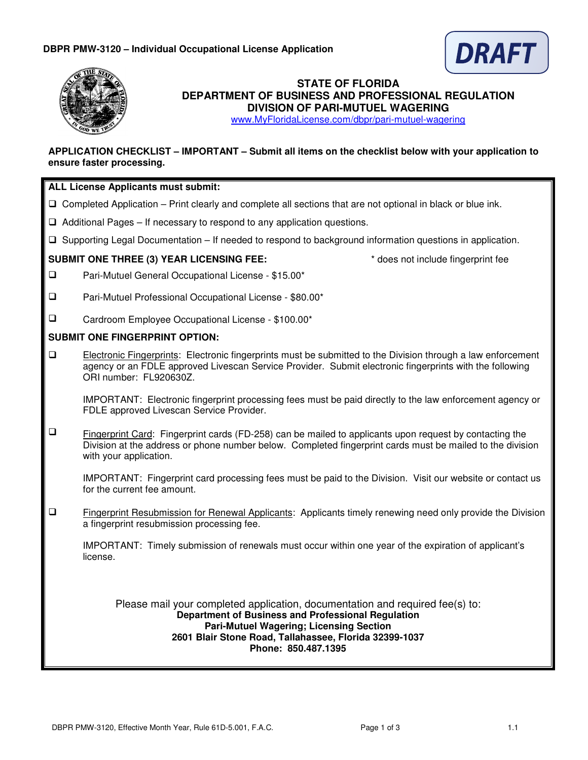



# **STATE OF FLORIDA DEPARTMENT OF BUSINESS AND PROFESSIONAL REGULATION DIVISION OF PARI-MUTUEL WAGERING**

www.MyFloridaLicense.com/dbpr/pari-mutuel-wagering

# **APPLICATION CHECKLIST – IMPORTANT – Submit all items on the checklist below with your application to ensure faster processing.**

# **ALL License Applicants must submit:**

- $\Box$  Completed Application Print clearly and complete all sections that are not optional in black or blue ink.
- $\Box$  Additional Pages If necessary to respond to any application questions.
- Supporting Legal Documentation If needed to respond to background information questions in application.

## **SUBMIT ONE THREE (3) YEAR LICENSING FEE:**  $\bullet$   $\bullet$  does not include fingerprint fee

- $\Box$ Pari-Mutuel General Occupational License - \$15.00\*
- $\Box$ Pari-Mutuel Professional Occupational License - \$80.00\*
- $\Box$ Cardroom Employee Occupational License - \$100.00\*

## **SUBMIT ONE FINGERPRINT OPTION:**

 Electronic Fingerprints: Electronic fingerprints must be submitted to the Division through a law enforcement agency or an FDLE approved Livescan Service Provider. Submit electronic fingerprints with the following ORI number: FL920630Z.

IMPORTANT: Electronic fingerprint processing fees must be paid directly to the law enforcement agency or FDLE approved Livescan Service Provider.

 $\Box$  Fingerprint Card: Fingerprint cards (FD-258) can be mailed to applicants upon request by contacting the Division at the address or phone number below. Completed fingerprint cards must be mailed to the division with your application.

IMPORTANT: Fingerprint card processing fees must be paid to the Division. Visit our website or contact us for the current fee amount.

 Fingerprint Resubmission for Renewal Applicants: Applicants timely renewing need only provide the Division a fingerprint resubmission processing fee.

IMPORTANT: Timely submission of renewals must occur within one year of the expiration of applicant's license.

Please mail your completed application, documentation and required fee(s) to: **Department of Business and Professional Regulation Pari-Mutuel Wagering; Licensing Section 2601 Blair Stone Road, Tallahassee, Florida 32399-1037 Phone: 850.487.1395**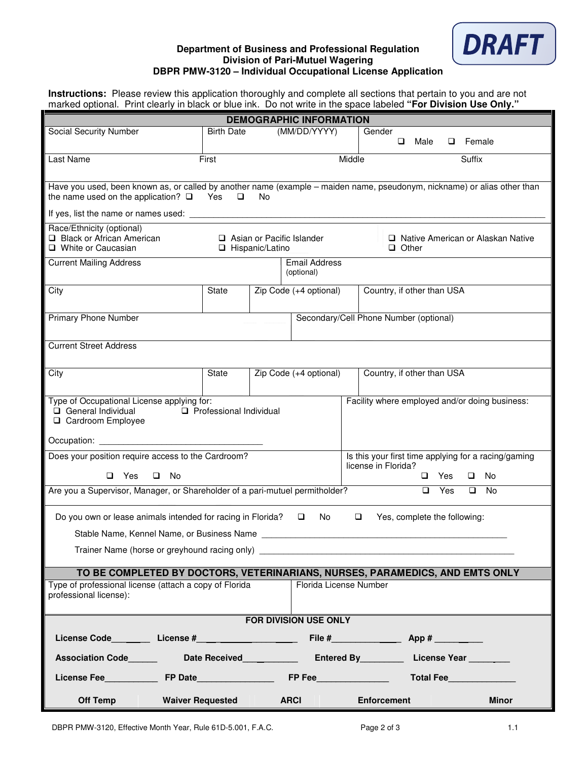#### **Department of Business and Professional Regulation Division of Pari-Mutuel Wagering DBPR PMW-3120 – Individual Occupational License Application**



**Instructions:** Please review this application thoroughly and complete all sections that pertain to you and are not marked optional. Print clearly in black or blue ink. Do not write in the space labeled **"For Division Use Only."**

| <b>DEMOGRAPHIC INFORMATION</b>                                                                                                                                                               |                           |                                                                                                    |                                                |  |  |  |  |  |  |
|----------------------------------------------------------------------------------------------------------------------------------------------------------------------------------------------|---------------------------|----------------------------------------------------------------------------------------------------|------------------------------------------------|--|--|--|--|--|--|
| Social Security Number                                                                                                                                                                       | <b>Birth Date</b>         | (MM/DD/YYYY)                                                                                       | Gender<br>Male<br>$\Box$ Female<br>$\Box$      |  |  |  |  |  |  |
| Last Name                                                                                                                                                                                    | Middle<br>Suffix<br>First |                                                                                                    |                                                |  |  |  |  |  |  |
| Have you used, been known as, or called by another name (example - maiden name, pseudonym, nickname) or alias other than<br>the name used on the application? $\square$ Yes<br>$\Box$<br>No. |                           |                                                                                                    |                                                |  |  |  |  |  |  |
| If yes, list the name or names used:                                                                                                                                                         |                           |                                                                                                    |                                                |  |  |  |  |  |  |
| Race/Ethnicity (optional)<br>Black or African American<br>Asian or Pacific Islander<br>□ Native American or Alaskan Native<br>□ White or Caucasian<br>□ Hispanic/Latino<br>$\Box$ Other      |                           |                                                                                                    |                                                |  |  |  |  |  |  |
| <b>Current Mailing Address</b>                                                                                                                                                               |                           | <b>Email Address</b><br>(optional)                                                                 |                                                |  |  |  |  |  |  |
| City                                                                                                                                                                                         | State                     | Zip Code (+4 optional)                                                                             | Country, if other than USA                     |  |  |  |  |  |  |
| <b>Primary Phone Number</b><br>Secondary/Cell Phone Number (optional)                                                                                                                        |                           |                                                                                                    |                                                |  |  |  |  |  |  |
| <b>Current Street Address</b>                                                                                                                                                                |                           |                                                                                                    |                                                |  |  |  |  |  |  |
| City                                                                                                                                                                                         | State                     | Zip Code (+4 optional)                                                                             | Country, if other than USA                     |  |  |  |  |  |  |
| Type of Occupational License applying for:<br>Facility where employed and/or doing business:<br>Professional Individual<br>General Individual<br>□ Cardroom Employee                         |                           |                                                                                                    |                                                |  |  |  |  |  |  |
|                                                                                                                                                                                              |                           |                                                                                                    |                                                |  |  |  |  |  |  |
| Does your position require access to the Cardroom?<br>$\Box$ Yes<br>$\Box$ No                                                                                                                |                           | Is this your first time applying for a racing/gaming<br>license in Florida?<br>Yes<br>$\Box$<br>No |                                                |  |  |  |  |  |  |
| Are you a Supervisor, Manager, or Shareholder of a pari-mutuel permitholder?<br>Yes<br>No<br>$\Box$<br>$\Box$                                                                                |                           |                                                                                                    |                                                |  |  |  |  |  |  |
|                                                                                                                                                                                              |                           |                                                                                                    |                                                |  |  |  |  |  |  |
| Do you own or lease animals intended for racing in Florida?<br>No.<br>$\Box$<br>Yes, complete the following:                                                                                 |                           |                                                                                                    |                                                |  |  |  |  |  |  |
| Stable Name, Kennel Name, or Business Name<br>Trainer Name (horse or greyhound racing only) ___________________________________                                                              |                           |                                                                                                    |                                                |  |  |  |  |  |  |
|                                                                                                                                                                                              |                           |                                                                                                    |                                                |  |  |  |  |  |  |
| TO BE COMPLETED BY DOCTORS, VETERINARIANS, NURSES, PARAMEDICS, AND EMTS ONLY<br>Type of professional license (attach a copy of Florida<br>Florida License Number<br>professional license):   |                           |                                                                                                    |                                                |  |  |  |  |  |  |
| <b>FOR DIVISION USE ONLY</b>                                                                                                                                                                 |                           |                                                                                                    |                                                |  |  |  |  |  |  |
|                                                                                                                                                                                              |                           |                                                                                                    |                                                |  |  |  |  |  |  |
| Association Code________  Date Received____________  Entered By__________ License Year _______                                                                                               |                           |                                                                                                    |                                                |  |  |  |  |  |  |
|                                                                                                                                                                                              |                           |                                                                                                    |                                                |  |  |  |  |  |  |
| Off Temp                                                                                                                                                                                     | Waiver Requested ARCI     |                                                                                                    | <b>Enforcement Enforcement</b><br><b>Minor</b> |  |  |  |  |  |  |